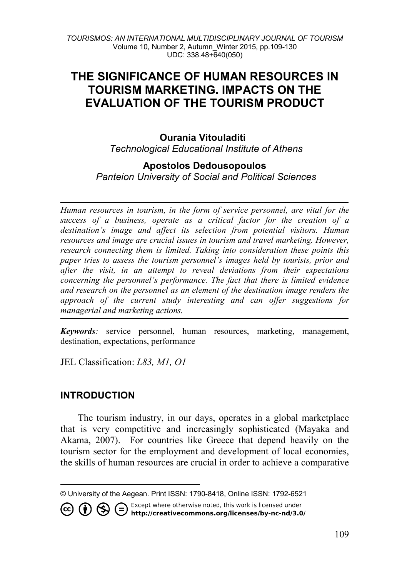# **THE SIGNIFICANCE OF HUMAN RESOURCES IN TOURISM MARKETING. IMPACTS ON THE EVALUATION OF THE TOURISM PRODUCT**

### **Ourania Vitouladiti[1](#page-0-0)** *Technological Educational Institute of Athens*

### **Apostolos Dedousopoulos**

*Panteion University of Social and Political Sciences* 

*Human resources in tourism, in the form of service personnel, are vital for the success of a business, operate as a critical factor for the creation of a destination's image and affect its selection from potential visitors. Human resources and image are crucial issues in tourism and travel marketing. However, research connecting them is limited. Taking into consideration these points this paper tries to assess the tourism personnel's images held by tourists, prior and after the visit, in an attempt to reveal deviations from their expectations concerning the personnel's performance. The fact that there is limited evidence and research on the personnel as an element of the destination image renders the approach of the current study interesting and can offer suggestions for managerial and marketing actions.* 

*Keywords:* service personnel, human resources, marketing, management, destination, expectations, performance

JEL Classification: *L83, M1, O1*

## **INTRODUCTION**

The tourism industry, in our days, operates in a global marketplace that is very competitive and increasingly sophisticated (Mayaka and Akama, 2007). For countries like Greece that depend heavily on the tourism sector for the employment and development of local economies, the skills of human resources are crucial in order to achieve a comparative

<span id="page-0-0"></span>© University of the Aegean. Print ISSN: 1790-8418, Online ISSN: 1792-6521<br>  $\overline{\text{cc}}$   $\overline{\text{H}}$   $\overline{\text{C}}$   $\overline{\text{H}}$   $\overline{\text{C}}$   $\overline{\text{H}}$   $\overline{\text{C}}$   $\overline{\text{H}}$   $\overline{\text{H}}$   $\overline{\text{H}}$   $\overline{\text{H}}$   $\overline{\text{H}}$   $\overline{\text{H}}$   $\over$ 75 http://creativecommons.org/licenses/by-nc-nd/3.0/

 $\overline{a}$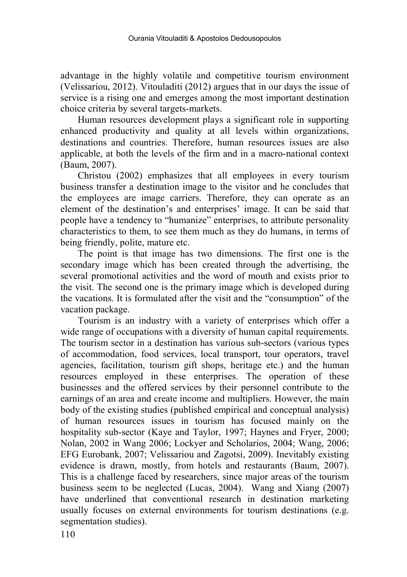advantage in the highly volatile and competitive tourism environment (Velissariou, 2012). Vitouladiti (2012) argues that in our days the issue of service is a rising one and emerges among the most important destination choice criteria by several targets-markets.

Human resources development plays a significant role in supporting enhanced productivity and quality at all levels within organizations, destinations and countries. Therefore, human resources issues are also applicable, at both the levels of the firm and in a macro-national context (Baum, 2007).

Christou (2002) emphasizes that all employees in every tourism business transfer a destination image to the visitor and he concludes that the employees are image carriers. Therefore, they can operate as an element of the destination's and enterprises' image. It can be said that people have a tendency to "humanize" enterprises, to attribute personality characteristics to them, to see them much as they do humans, in terms of being friendly, polite, mature etc.

The point is that image has two dimensions. The first one is the secondary image which has been created through the advertising, the several promotional activities and the word of mouth and exists prior to the visit. The second one is the primary image which is developed during the vacations. It is formulated after the visit and the "consumption" of the vacation package.

Tourism is an industry with a variety of enterprises which offer a wide range of occupations with a diversity of human capital requirements. The tourism sector in a destination has various sub-sectors (various types of accommodation, food services, local transport, tour operators, travel agencies, facilitation, tourism gift shops, heritage etc.) and the human resources employed in these enterprises. The operation of these businesses and the offered services by their personnel contribute to the earnings of an area and create income and multipliers. However, the main body of the existing studies (published empirical and conceptual analysis) of human resources issues in tourism has focused mainly on the hospitality sub-sector (Kaye and Taylor, 1997; Haynes and Fryer, 2000; Nolan, 2002 in Wang 2006; Lockyer and Scholarios, 2004; Wang, 2006; EFG Eurobank, 2007; Velissariou and Zagotsi, 2009). Inevitably existing evidence is drawn, mostly, from hotels and restaurants (Baum, 2007). This is a challenge faced by researchers, since major areas of the tourism business seem to be neglected (Lucas, 2004). Wang and Xiang (2007) have underlined that conventional research in destination marketing usually focuses on external environments for tourism destinations (e.g. segmentation studies).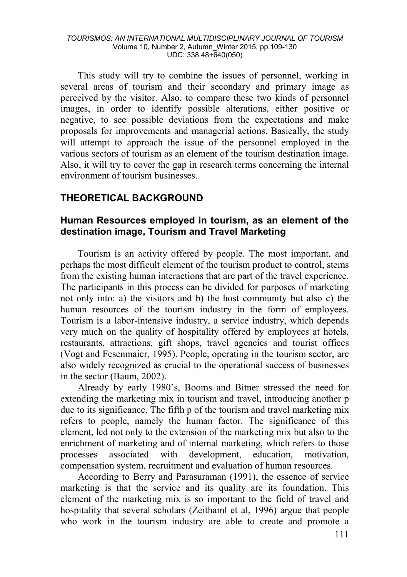This study will try to combine the issues of personnel, working in several areas of tourism and their secondary and primary image as perceived by the visitor. Also, to compare these two kinds of personnel images, in order to identify possible alterations, either positive or negative, to see possible deviations from the expectations and make proposals for improvements and managerial actions. Basically, the study will attempt to approach the issue of the personnel employed in the various sectors of tourism as an element of the tourism destination image. Also, it will try to cover the gap in research terms concerning the internal environment of tourism businesses.

## **THEORETICAL BACKGROUND**

### **Human Resources employed in tourism, as an element of the destination image, Tourism and Travel Marketing**

Tourism is an activity offered by people. The most important, and perhaps the most difficult element of the tourism product to control, stems from the existing human interactions that are part of the travel experience. The participants in this process can be divided for purposes of marketing not only into: a) the visitors and b) the host community but also c) the human resources of the tourism industry in the form of employees. Tourism is a labor-intensive industry, a service industry, which depends very much on the quality of hospitality offered by employees at hotels, restaurants, attractions, gift shops, travel agencies and tourist offices (Vogt and Fesenmaier, 1995). People, operating in the tourism sector, are also widely recognized as crucial to the operational success of businesses in the sector (Baum, 2002).

Already by early 1980's, Booms and Bitner stressed the need for extending the marketing mix in tourism and travel, introducing another p due to its significance. The fifth p of the tourism and travel marketing mix refers to people, namely the human factor. The significance of this element, led not only to the extension of the marketing mix but also to the enrichment of marketing and of internal marketing, which refers to those processes associated with development, education, motivation, compensation system, recruitment and evaluation of human resources.

According to Berry and Parasuraman (1991), the essence of service marketing is that the service and its quality are its foundation. This element of the marketing mix is so important to the field of travel and hospitality that several scholars (Zeithaml et al, 1996) argue that people who work in the tourism industry are able to create and promote a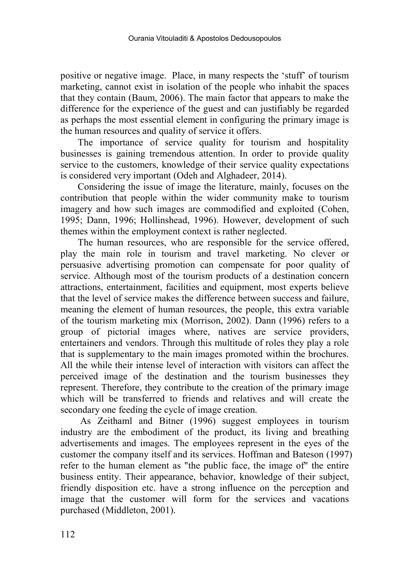positive or negative image. Place, in many respects the 'stuff' of tourism marketing, cannot exist in isolation of the people who inhabit the spaces that they contain (Baum, 2006). The main factor that appears to make the difference for the experience of the guest and can justifiably be regarded as perhaps the most essential element in configuring the primary image is the human resources and quality of service it offers.

The importance of service quality for tourism and hospitality businesses is gaining tremendous attention. In order to provide quality service to the customers, knowledge of their service quality expectations is considered very important (Odeh and Alghadeer, 2014).

Considering the issue of image the literature, mainly, focuses on the contribution that people within the wider community make to tourism imagery and how such images are commodified and exploited (Cohen, 1995; Dann, 1996; Hollinshead, 1996). However, development of such themes within the employment context is rather neglected.

The human resources, who are responsible for the service offered, play the main role in tourism and travel marketing. No clever or persuasive advertising promotion can compensate for poor quality of service. Although most of the tourism products of a destination concern attractions, entertainment, facilities and equipment, most experts believe that the level of service makes the difference between success and failure, meaning the element of human resources, the people, this extra variable of the tourism marketing mix (Morrison, 2002). Dann (1996) refers to a group of pictorial images where, natives are service providers, entertainers and vendors. Through this multitude of roles they play a role that is supplementary to the main images promoted within the brochures. All the while their intense level of interaction with visitors can affect the perceived image of the destination and the tourism businesses they represent. Therefore, they contribute to the creation of the primary image which will be transferred to friends and relatives and will create the secondary one feeding the cycle of image creation.

As Zeithaml and Bitner (1996) suggest employees in tourism industry are the embodiment of the product, its living and breathing advertisements and images. The employees represent in the eyes of the customer the company itself and its services. Hoffman and Bateson (1997) refer to the human element as "the public face, the image of" the entire business entity. Their appearance, behavior, knowledge of their subject, friendly disposition etc. have a strong influence on the perception and image that the customer will form for the services and vacations purchased (Middleton, 2001).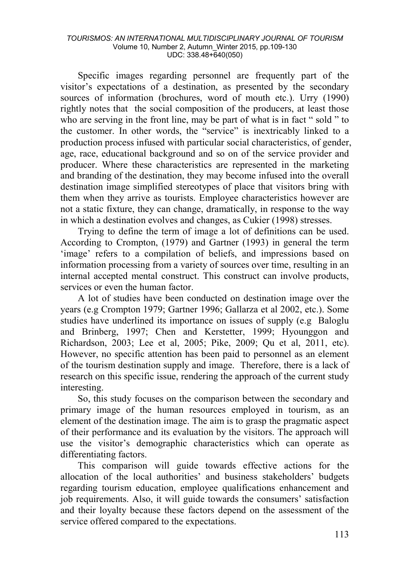Specific images regarding personnel are frequently part of the visitor's expectations of a destination, as presented by the secondary sources of information (brochures, word of mouth etc.). Urry (1990) rightly notes that the social composition of the producers, at least those who are serving in the front line, may be part of what is in fact " sold " to the customer. In other words, the "service" is inextricably linked to a production process infused with particular social characteristics, of gender, age, race, educational background and so on of the service provider and producer. Where these characteristics are represented in the marketing and branding of the destination, they may become infused into the overall destination image simplified stereotypes of place that visitors bring with them when they arrive as tourists. Employee characteristics however are not a static fixture, they can change, dramatically, in response to the way in which a destination evolves and changes, as Cukier (1998) stresses.

Trying to define the term of image a lot of definitions can be used. According to Crompton, (1979) and Gartner (1993) in general the term 'image' refers to a compilation of beliefs, and impressions based on information processing from a variety of sources over time, resulting in an internal accepted mental construct. This construct can involve products, services or even the human factor.

A lot of studies have been conducted on destination image over the years (e.g Crompton 1979; Gartner 1996; Gallarza et al 2002, etc.). Some studies have underlined its importance on issues of supply (e.g Baloglu and Brinberg, 1997; Chen and Kerstetter, 1999; Hyounggon and Richardson, 2003; Lee et al, 2005; Pike, 2009; Qu et al, 2011, etc). However, no specific attention has been paid to personnel as an element of the tourism destination supply and image. Therefore, there is a lack of research on this specific issue, rendering the approach of the current study interesting.

So, this study focuses on the comparison between the secondary and primary image of the human resources employed in tourism, as an element of the destination image. The aim is to grasp the pragmatic aspect of their performance and its evaluation by the visitors. The approach will use the visitor's demographic characteristics which can operate as differentiating factors.

This comparison will guide towards effective actions for the allocation of the local authorities' and business stakeholders' budgets regarding tourism education, employee qualifications enhancement and job requirements. Also, it will guide towards the consumers' satisfaction and their loyalty because these factors depend on the assessment of the service offered compared to the expectations.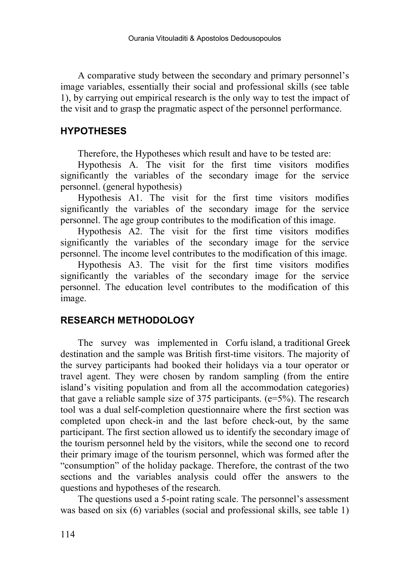A comparative study between the secondary and primary personnel's image variables, essentially their social and professional skills (see table 1), by carrying out empirical research is the only way to test the impact of the visit and to grasp the pragmatic aspect of the personnel performance.

## **HYPOTHESES**

Therefore, the Hypotheses which result and have to be tested are:

Hypothesis A. The visit for the first time visitors modifies significantly the variables of the secondary image for the service personnel. (general hypothesis)

Hypothesis A1. The visit for the first time visitors modifies significantly the variables of the secondary image for the service personnel. The age group contributes to the modification of this image.

Hypothesis A2. The visit for the first time visitors modifies significantly the variables of the secondary image for the service personnel. The income level contributes to the modification of this image.

Hypothesis A3. The visit for the first time visitors modifies significantly the variables of the secondary image for the service personnel. The education level contributes to the modification of this image.

## **RESEARCH METHODOLOGY**

The survey was implemented in Corfu island, a traditional Greek destination and the sample was British first-time visitors. The majority of the survey participants had booked their holidays via a tour operator or travel agent. They were chosen by random sampling (from the entire island's visiting population and from all the accommodation categories) that gave a reliable sample size of 375 participants. ( $e=5\%$ ). The research tool was a dual self-completion questionnaire where the first section was completed upon check-in and the last before check-out, by the same participant. The first section allowed us to identify the secondary image of the tourism personnel held by the visitors, while the second one to record their primary image of the tourism personnel, which was formed after the "consumption" of the holiday package. Therefore, the contrast of the two sections and the variables analysis could offer the answers to the questions and hypotheses of the research.

The questions used a 5-point rating scale. The personnel's assessment was based on six (6) variables (social and professional skills, see table 1)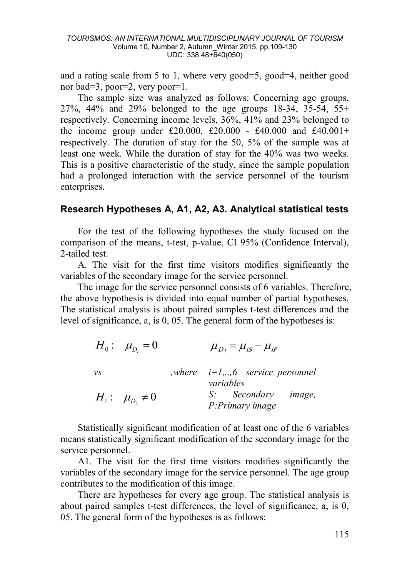and a rating scale from 5 to 1, where very good=5, good=4, neither good nor bad=3, poor=2, very poor=1.

The sample size was analyzed as follows: Concerning age groups, 27%, 44% and 29% belonged to the age groups 18-34, 35-54, 55+ respectively. Concerning income levels, 36%, 41% and 23% belonged to the income group under £20.000, £20.000 - £40.000 and £40.001+ respectively. The duration of stay for the 50, 5% of the sample was at least one week. While the duration of stay for the 40% was two weeks. This is a positive characteristic of the study, since the sample population had a prolonged interaction with the service personnel of the tourism enterprises.

## **Research Hypotheses A, A1, A2, A3. Analytical statistical tests**

For the test of the following hypotheses the study focused on the comparison of the means, t-test, p-value, CI 95% (Confidence Interval), 2-tailed test.

A. The visit for the first time visitors modifies significantly the variables of the secondary image for the service personnel.

The image for the service personnel consists of 6 variables. Therefore, the above hypothesis is divided into equal number of partial hypotheses. The statistical analysis is about paired samples t-test differences and the level of significance, a, is 0, 05. The general form of the hypotheses is:

|         | $H_0: \mu_{D_i}=0$      | $\mu_{Di} = \mu_{iS} - \mu_{iP}$                            |
|---------|-------------------------|-------------------------------------------------------------|
| $\nu s$ |                         | <i>where</i> $i=1,,6$ <i>service personnel</i><br>variables |
|         | $H_1: \mu_{D_1} \neq 0$ | S: Secondary image,<br>P: Primary image                     |

Statistically significant modification of at least one of the 6 variables means statistically significant modification of the secondary image for the service personnel.

A1. The visit for the first time visitors modifies significantly the variables of the secondary image for the service personnel. The age group contributes to the modification of this image.

There are hypotheses for every age group. The statistical analysis is about paired samples t-test differences, the level of significance, a, is 0, 05. The general form of the hypotheses is as follows: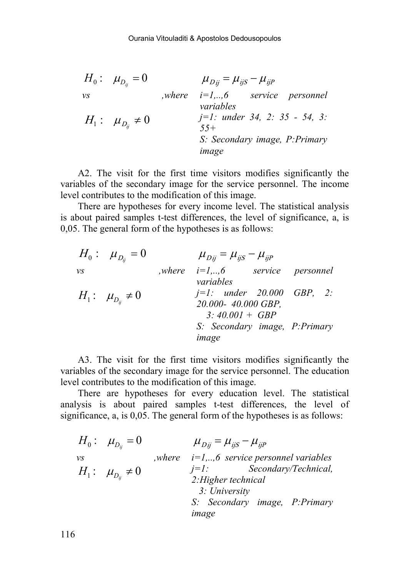$$
H_0: \mu_{D_{ij}} = 0 \qquad \mu_{Dij} = \mu_{ijS} - \mu_{ijP}
$$
  
\n
$$
W_0: \mu_{D_{ij}} = 0 \qquad \mu_{Dij} = \mu_{ijS} - \mu_{ijP}
$$
  
\n
$$
H_1: \mu_{D_{ij}} \neq 0 \qquad \text{where} \quad j=1: \text{ under } 34, 2: 35 - 54, 3: 55 + 5: \text{ secondary image, P:Primary image}
$$
  
\n
$$
H_2: \mu_{D_{ij}} \neq 0 \qquad \text{where} \quad J = 1: 0.5 + 5: \text{ The image}
$$

A2. The visit for the first time visitors modifies significantly the variables of the secondary image for the service personnel. The income level contributes to the modification of this image.

There are hypotheses for every income level. The statistical analysis is about paired samples t-test differences, the level of significance, a, is 0,05. The general form of the hypotheses is as follows:

|    | $H_0: \mu_{D_{ii}}=0$   | $\mu_{D_{ij}} = \mu_{ijS} - \mu_{ijP}$  |  |
|----|-------------------------|-----------------------------------------|--|
| VS |                         | <i>where</i> $i=1,,6$ service personnel |  |
|    |                         | variables                               |  |
|    | $H_1: \mu_{D_n} \neq 0$ | $j=1$ : under 20.000 GBP, 2:            |  |
|    |                         | 20.000- 40.000 GBP,                     |  |
|    |                         | $3:40.001 + GBP$                        |  |
|    |                         | S: Secondary image, P: Primary          |  |
|    |                         | image                                   |  |

A3. The visit for the first time visitors modifies significantly the variables of the secondary image for the service personnel. The education level contributes to the modification of this image.

There are hypotheses for every education level. The statistical analysis is about paired samples t-test differences, the level of significance, a, is 0,05. The general form of the hypotheses is as follows:

|    | $H_0: \mu_{D_n}=0$      | $\mu_{Dii} = \mu_{ijS} - \mu_{ijP}$                     |
|----|-------------------------|---------------------------------------------------------|
| νs |                         | , where $i=1,,6$ service personnel variables            |
|    | $H_1: \mu_{D_n} \neq 0$ | $j=1$ : Secondary/Technical,<br>2: Higher technical     |
|    |                         | 3: University<br>S: Secondary image, P:Primary<br>image |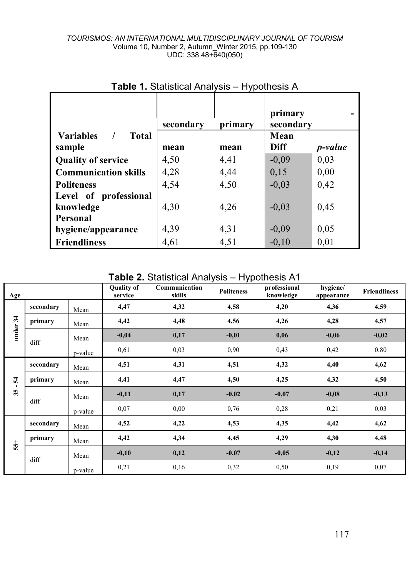|                                  | secondary | primarv | primary<br>secondary |         |
|----------------------------------|-----------|---------|----------------------|---------|
| <b>Total</b><br><b>Variables</b> |           |         | Mean                 |         |
| sample                           | mean      | mean    | Diff                 | p-value |
| <b>Quality of service</b>        | 4,50      | 4,41    | $-0.09$              | 0,03    |
| <b>Communication skills</b>      | 4,28      | 4,44    | 0.15                 | 0,00    |
| <b>Politeness</b>                | 4.54      | 4,50    | $-0.03$              | 0,42    |
| Level of professional            |           |         |                      |         |
| knowledge                        | 4,30      | 4,26    | $-0.03$              | 0,45    |
| Personal                         |           |         |                      |         |
| hygiene/appearance               | 4,39      | 4,31    | $-0.09$              | 0.05    |
| <b>Friendliness</b>              | 4,61      | 4,51    | $-0.10$              | 0,01    |

# **Table 1.** Statistical Analysis – Hypothesis A

**Table 2.** Statistical Analysis – Hypothesis A1

| Age                |           |         | <b>Quality of</b><br>service | Communication<br>skills | ノI<br><b>Politeness</b> | professional<br>knowledge | hygiene/<br>appearance | <b>Friendliness</b> |
|--------------------|-----------|---------|------------------------------|-------------------------|-------------------------|---------------------------|------------------------|---------------------|
|                    | secondary | Mean    | 4,47                         | 4,32                    | 4,58                    | 4,20                      | 4,36                   | 4,59                |
| under 34           | primary   | Mean    | 4,42                         | 4,48                    | 4,56                    | 4,26                      | 4,28                   | 4,57                |
|                    | diff      | Mean    | $-0,04$                      | 0,17                    | $-0,01$                 | 0,06                      | $-0,06$                | $-0,02$             |
|                    |           | p-value | 0,61                         | 0.03                    | 0,90                    | 0,43                      | 0,42                   | 0,80                |
|                    | secondary | Mean    | 4,51                         | 4,31                    | 4,51                    | 4,32                      | 4,40                   | 4,62                |
| 24                 | primary   | Mean    | 4,41                         | 4,47                    | 4,50                    | 4,25                      | 4,32                   | 4,50                |
| $\mathbf{I}$<br>35 |           | Mean    | $-0,11$                      | 0,17                    | $-0,02$                 | $-0,07$                   | $-0,08$                | $-0,13$             |
|                    | diff      | p-value | 0,07                         | 0,00                    | 0,76                    | 0,28                      | 0,21                   | 0,03                |
|                    | secondary | Mean    | 4,52                         | 4,22                    | 4,53                    | 4,35                      | 4,42                   | 4,62                |
| $55+$              | primary   | Mean    | 4,42                         | 4,34                    | 4,45                    | 4,29                      | 4,30                   | 4,48                |
|                    | diff      | Mean    | $-0,10$                      | 0,12                    | $-0,07$                 | $-0,05$                   | $-0,12$                | $-0,14$             |
|                    |           | p-value | 0,21                         | 0,16                    | 0,32                    | 0,50                      | 0,19                   | 0,07                |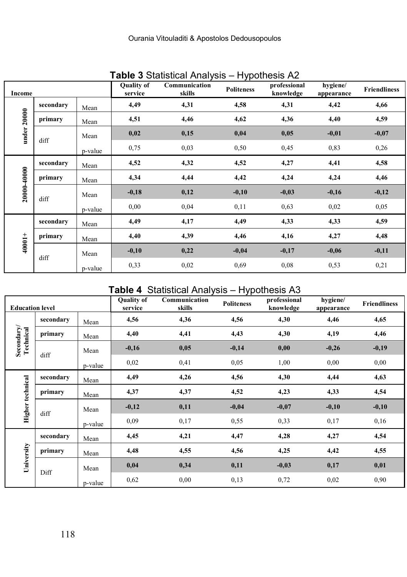| Income      |           |         | <b>Quality of</b><br>service | Communication<br>skills | ັ<br><b>Politeness</b> | $\cdots$ , and $\cdots$<br>professional<br>knowledge | hygiene/<br>appearance | <b>Friendliness</b> |
|-------------|-----------|---------|------------------------------|-------------------------|------------------------|------------------------------------------------------|------------------------|---------------------|
|             | secondary | Mean    | 4,49                         | 4,31                    | 4,58                   | 4,31                                                 | 4,42                   | 4,66                |
| under 20000 | primary   | Mean    | 4,51                         | 4,46                    | 4,62                   | 4,36                                                 | 4,40                   | 4,59                |
|             | diff      | Mean    | 0,02                         | 0,15                    | 0,04                   | 0,05                                                 | $-0,01$                | $-0,07$             |
|             |           | p-value | 0,75                         | 0,03                    | 0,50                   | 0,45                                                 | 0,83                   | 0,26                |
|             | secondary | Mean    | 4,52                         | 4,32                    | 4,52                   | 4,27                                                 | 4,41                   | 4,58                |
|             | primary   | Mean    | 4,34                         | 4,44                    | 4,42                   | 4,24                                                 | 4,24                   | 4,46                |
| 20000-40000 | diff      | Mean    | $-0,18$                      | 0,12                    | $-0,10$                | $-0,03$                                              | $-0,16$                | $-0,12$             |
|             |           | p-value | 0,00                         | 0,04                    | 0,11                   | 0,63                                                 | 0,02                   | 0,05                |
|             | secondary | Mean    | 4,49                         | 4,17                    | 4,49                   | 4,33                                                 | 4,33                   | 4,59                |
| $+10001 +$  | primary   | Mean    | 4,40                         | 4,39                    | 4,46                   | 4,16                                                 | 4,27                   | 4,48                |
|             |           | Mean    | $-0,10$                      | 0,22                    | $-0,04$                | $-0,17$                                              | $-0,06$                | $-0,11$             |
|             | diff      | p-value | 0.33                         | 0,02                    | 0.69                   | 0,08                                                 | 0,53                   | 0,21                |

# **Table 3** Statistical Analysis – Hypothesis A2

# **Table 4** Statistical Analysis – Hypothesis A3

| <b>Education level</b>  |           |         | <b>Quality of</b><br>service | Communication<br>skills | <b>Politeness</b> | professional<br>knowledge | hygiene/<br>appearance | <b>Friendliness</b> |
|-------------------------|-----------|---------|------------------------------|-------------------------|-------------------|---------------------------|------------------------|---------------------|
|                         | secondary | Mean    | 4,56                         | 4,36                    | 4,56              | 4,30                      | 4,46                   | 4,65                |
| Secondary/<br>Technical | primary   | Mean    | 4,40                         | 4,41                    | 4,43              | 4,30                      | 4,19                   | 4,46                |
|                         | diff      | Mean    | $-0,16$                      | 0,05                    | $-0,14$           | 0,00                      | $-0,26$                | $-0,19$             |
|                         |           | p-value | 0,02                         | 0,41                    | 0,05              | 1,00                      | 0,00                   | 0,00                |
|                         | secondary | Mean    | 4,49                         | 4,26                    | 4,56              | 4,30                      | 4,44                   | 4,63                |
| Higher technical        | primary   | Mean    | 4,37                         | 4,37                    | 4,52              | 4,23                      | 4,33                   | 4,54                |
|                         | diff      | Mean    | $-0,12$                      | 0,11                    | $-0,04$           | $-0,07$                   | $-0,10$                | $-0,10$             |
|                         |           | p-value | 0,09                         | 0,17                    | 0,55              | 0,33                      | 0,17                   | 0,16                |
|                         | secondary | Mean    | 4,45                         | 4,21                    | 4,47              | 4,28                      | 4,27                   | 4,54                |
|                         | primary   | Mean    | 4,48                         | 4,55                    | 4,56              | 4,25                      | 4,42                   | 4,55                |
| University              | Diff      | Mean    | 0,04                         | 0,34                    | 0,11              | $-0,03$                   | 0,17                   | 0,01                |
|                         |           | p-value | 0,62                         | 0,00                    | 0,13              | 0,72                      | 0,02                   | 0,90                |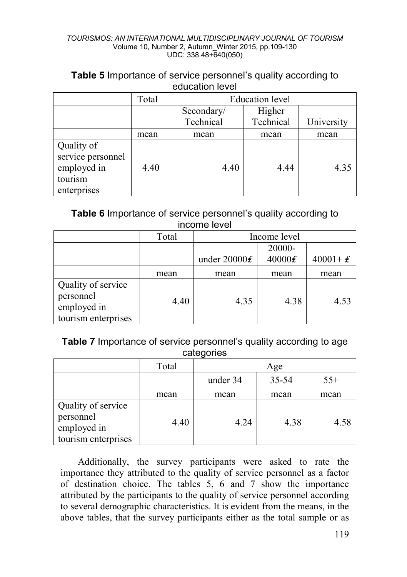| Table 5 Importance of service personnel's quality according to |  |
|----------------------------------------------------------------|--|
| education level                                                |  |

|                                                                          | Total | Education level |           |            |
|--------------------------------------------------------------------------|-------|-----------------|-----------|------------|
|                                                                          |       | Secondary/      | Higher    |            |
|                                                                          |       | Technical       | Technical | University |
|                                                                          | mean  | mean            | mean      | mean       |
| Quality of<br>service personnel<br>employed in<br>tourism<br>enterprises | 4.40  | 4.40            | 4.44      | 4.35       |

**Table 6** Importance of service personnel's quality according to income level

|                                                                       | Total |                | Income level |             |
|-----------------------------------------------------------------------|-------|----------------|--------------|-------------|
|                                                                       |       |                | 20000-       |             |
|                                                                       |       | under $20000f$ | 40000f       | $40001 + E$ |
|                                                                       | mean  | mean           | mean         | mean        |
| Quality of service<br>personnel<br>employed in<br>tourism enterprises | 4.40  | 4.35           | 4.38         | 4.53        |

**Table 7** Importance of service personnel's quality according to age categories

|                                                                       | Total |          | Age   |       |
|-----------------------------------------------------------------------|-------|----------|-------|-------|
|                                                                       |       | under 34 | 35-54 | $55+$ |
|                                                                       | mean  | mean     | mean  | mean  |
| Quality of service<br>personnel<br>employed in<br>tourism enterprises | 4.40  | 4.24     | 4.38  | 4.58  |

Additionally, the survey participants were asked to rate the importance they attributed to the quality of service personnel as a factor of destination choice. The tables 5, 6 and 7 show the importance attributed by the participants to the quality of service personnel according to several demographic characteristics. It is evident from the means, in the above tables, that the survey participants either as the total sample or as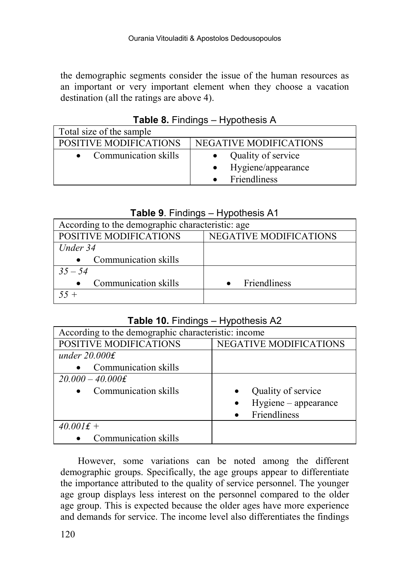the demographic segments consider the issue of the human resources as an important or very important element when they choose a vacation destination (all the ratings are above 4).

| Total size of the sample |                                                          |
|--------------------------|----------------------------------------------------------|
| POSITIVE MODIFICATIONS   | NEGATIVE MODIFICATIONS                                   |
| • Communication skills   | Quality of service<br>Hygiene/appearance<br>Friendliness |

**Table 8.** Findings – Hypothesis A

## **Table 9**. Findings – Hypothesis A1

| According to the demographic characteristic: age |
|--------------------------------------------------|
| NEGATIVE MODIFICATIONS                           |
|                                                  |
|                                                  |
|                                                  |
| <b>Friendliness</b>                              |
|                                                  |
|                                                  |

## **Table 10.** Findings – Hypothesis A2

| According to the demographic characteristic: income |                               |
|-----------------------------------------------------|-------------------------------|
| POSITIVE MODIFICATIONS                              | <b>NEGATIVE MODIFICATIONS</b> |
| under $20.000f$                                     |                               |
| Communication skills                                |                               |
| $20.000 - 40.000$ £                                 |                               |
| Communication skills<br>$\bullet$                   | Quality of service            |
|                                                     | Hygiene - appearance          |
|                                                     | Friendliness                  |
| $40.001f +$                                         |                               |
| Communication skills                                |                               |

However, some variations can be noted among the different demographic groups. Specifically, the age groups appear to differentiate the importance attributed to the quality of service personnel. The younger age group displays less interest on the personnel compared to the older age group. This is expected because the older ages have more experience and demands for service. The income level also differentiates the findings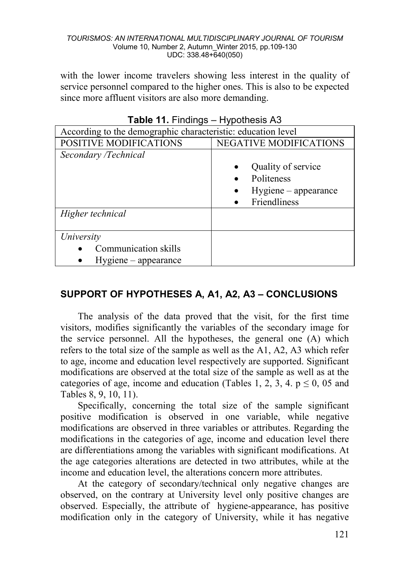with the lower income travelers showing less interest in the quality of service personnel compared to the higher ones. This is also to be expected since more affluent visitors are also more demanding.

| $\frac{1}{2}$                                                |                        |  |  |
|--------------------------------------------------------------|------------------------|--|--|
| According to the demographic characteristic: education level |                        |  |  |
| <b>POSITIVE MODIFICATIONS</b>                                | NEGATIVE MODIFICATIONS |  |  |
| Secondary /Technical                                         |                        |  |  |
|                                                              | Quality of service     |  |  |
|                                                              | Politeness             |  |  |
|                                                              | $Hygiene$ – appearance |  |  |
|                                                              | Friendliness           |  |  |
| Higher technical                                             |                        |  |  |
|                                                              |                        |  |  |
| University                                                   |                        |  |  |
| Communication skills                                         |                        |  |  |
| $Hygiene$ – appearance                                       |                        |  |  |

| Table 11. Findings - Hypothesis A3 |  |
|------------------------------------|--|
|------------------------------------|--|

## **SUPPORT OF HYPOTHESES A, A1, A2, A3 – CONCLUSIONS**

The analysis of the data proved that the visit, for the first time visitors, modifies significantly the variables of the secondary image for the service personnel. All the hypotheses, the general one (A) which refers to the total size of the sample as well as the A1, A2, A3 which refer to age, income and education level respectively are supported. Significant modifications are observed at the total size of the sample as well as at the categories of age, income and education (Tables 1, 2, 3, 4.  $p \le 0$ , 05 and Tables 8, 9, 10, 11).

Specifically, concerning the total size of the sample significant positive modification is observed in one variable, while negative modifications are observed in three variables or attributes. Regarding the modifications in the categories of age, income and education level there are differentiations among the variables with significant modifications. At the age categories alterations are detected in two attributes, while at the income and education level, the alterations concern more attributes.

At the category of secondary/technical only negative changes are observed, on the contrary at University level only positive changes are observed. Especially, the attribute of hygiene-appearance, has positive modification only in the category of University, while it has negative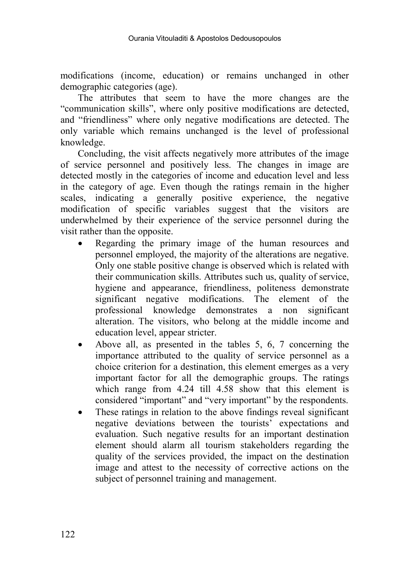modifications (income, education) or remains unchanged in other demographic categories (age).

The attributes that seem to have the more changes are the "communication skills", where only positive modifications are detected, and "friendliness" where only negative modifications are detected. The only variable which remains unchanged is the level of professional knowledge.

Concluding, the visit affects negatively more attributes of the image of service personnel and positively less. The changes in image are detected mostly in the categories of income and education level and less in the category of age. Even though the ratings remain in the higher scales, indicating a generally positive experience, the negative modification of specific variables suggest that the visitors are underwhelmed by their experience of the service personnel during the visit rather than the opposite.

- Regarding the primary image of the human resources and personnel employed, the majority of the alterations are negative. Only one stable positive change is observed which is related with their communication skills. Attributes such us, quality of service, hygiene and appearance, friendliness, politeness demonstrate significant negative modifications. The element of the professional knowledge demonstrates a non significant alteration. The visitors, who belong at the middle income and education level, appear stricter.
- Above all, as presented in the tables 5, 6, 7 concerning the importance attributed to the quality of service personnel as a choice criterion for a destination, this element emerges as a very important factor for all the demographic groups. The ratings which range from 4.24 till 4.58 show that this element is considered "important" and "very important" by the respondents.
- These ratings in relation to the above findings reveal significant negative deviations between the tourists' expectations and evaluation. Such negative results for an important destination element should alarm all tourism stakeholders regarding the quality of the services provided, the impact on the destination image and attest to the necessity of corrective actions on the subject of personnel training and management.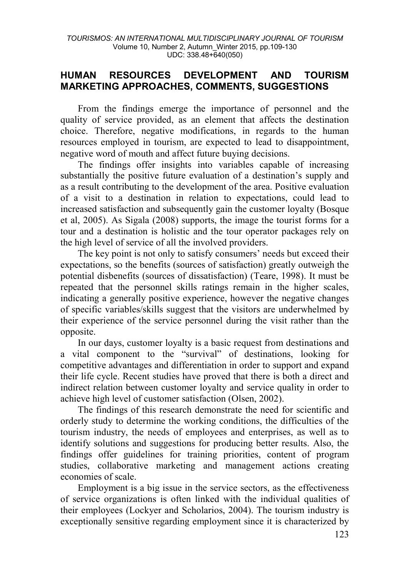## **HUMAN RESOURCES DEVELOPMENT AND TOURISM MARKETING APPROACHES, COMMENTS, SUGGESTIONS**

From the findings emerge the importance of personnel and the quality of service provided, as an element that affects the destination choice. Therefore, negative modifications, in regards to the human resources employed in tourism, are expected to lead to disappointment, negative word of mouth and affect future buying decisions.

The findings offer insights into variables capable of increasing substantially the positive future evaluation of a destination's supply and as a result contributing to the development of the area. Positive evaluation of a visit to a destination in relation to expectations, could lead to increased satisfaction and subsequently gain the customer loyalty (Bosque et al, 2005). As Sigala (2008) supports, the image the tourist forms for a tour and a destination is holistic and the tour operator packages rely on the high level of service of all the involved providers.

The key point is not only to satisfy consumers' needs but exceed their expectations, so the benefits (sources of satisfaction) greatly outweigh the potential disbenefits (sources of dissatisfaction) (Teare, 1998). It must be repeated that the personnel skills ratings remain in the higher scales, indicating a generally positive experience, however the negative changes of specific variables/skills suggest that the visitors are underwhelmed by their experience of the service personnel during the visit rather than the opposite.

In our days, customer loyalty is a basic request from destinations and a vital component to the "survival" of destinations, looking for competitive advantages and differentiation in order to support and expand their life cycle. Recent studies have proved that there is both a direct and indirect relation between customer loyalty and service quality in order to achieve high level of customer satisfaction (Olsen, 2002).

The findings of this research demonstrate the need for scientific and orderly study to determine the working conditions, the difficulties of the tourism industry, the needs of employees and enterprises, as well as to identify solutions and suggestions for producing better results. Also, the findings offer guidelines for training priorities, content of program studies, collaborative marketing and management actions creating economies of scale.

Employment is a big issue in the service sectors, as the effectiveness of service organizations is often linked with the individual qualities of their employees (Lockyer and Scholarios, 2004). The tourism industry is exceptionally sensitive regarding employment since it is characterized by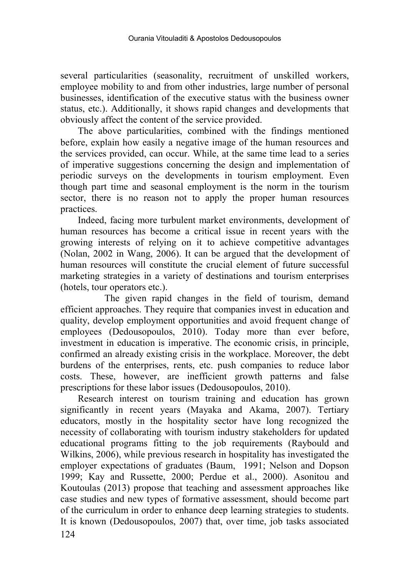several particularities (seasonality, recruitment of unskilled workers, employee mobility to and from other industries, large number of personal businesses, identification of the executive status with the business owner status, etc.). Additionally, it shows rapid changes and developments that obviously affect the content of the service provided.

The above particularities, combined with the findings mentioned before, explain how easily a negative image of the human resources and the services provided, can occur. While, at the same time lead to a series of imperative suggestions concerning the design and implementation of periodic surveys on the developments in tourism employment. Even though part time and seasonal employment is the norm in the tourism sector, there is no reason not to apply the proper human resources practices.

Indeed, facing more turbulent market environments, development of human resources has become a critical issue in recent years with the growing interests of relying on it to achieve competitive advantages (Nolan, 2002 in Wang, 2006). It can be argued that the development of human resources will constitute the crucial element of future successful marketing strategies in a variety of destinations and tourism enterprises (hotels, tour operators etc.).

 The given rapid changes in the field of tourism, demand efficient approaches. They require that companies invest in education and quality, develop employment opportunities and avoid frequent change of employees (Dedousopoulos, 2010). Today more than ever before, investment in education is imperative. The economic crisis, in principle, confirmed an already existing crisis in the workplace. Moreover, the debt burdens of the enterprises, rents, etc. push companies to reduce labor costs. These, however, are inefficient growth patterns and false prescriptions for these labor issues (Dedousopoulos, 2010).

124 Research interest on tourism training and education has grown significantly in recent years (Mayaka and Akama, 2007). Tertiary educators, mostly in the hospitality sector have long recognized the necessity of collaborating with tourism industry stakeholders for updated educational programs fitting to the job requirements (Raybould and Wilkins, 2006), while previous research in hospitality has investigated the employer expectations of graduates (Baum, 1991; Nelson and Dopson 1999; Kay and Russette, 2000; Perdue et al., 2000). Asonitou and Koutoulas (2013) propose that teaching and assessment approaches like case studies and new types of formative assessment, should become part of the curriculum in order to enhance deep learning strategies to students. It is known (Dedousopoulos, 2007) that, over time, job tasks associated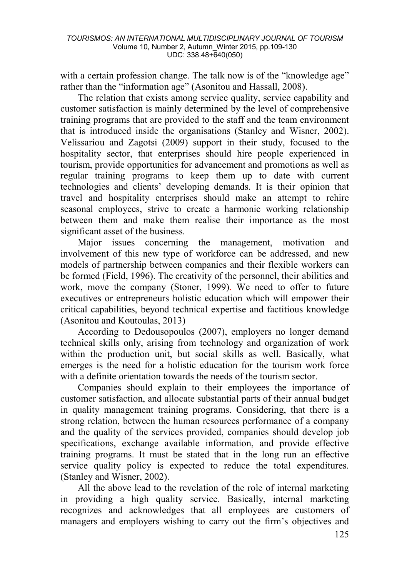with a certain profession change. The talk now is of the "knowledge age" rather than the "information age" (Asonitou and Hassall, 2008).

The relation that exists among service quality, service capability and customer satisfaction is mainly determined by the level of comprehensive training programs that are provided to the staff and the team environment that is introduced inside the organisations (Stanley and Wisner, 2002). Velissariou and Zagotsi (2009) support in their study, focused to the hospitality sector, that enterprises should hire people experienced in tourism, provide opportunities for advancement and promotions as well as regular training programs to keep them up to date with current technologies and clients' developing demands. It is their opinion that travel and hospitality enterprises should make an attempt to rehire seasonal employees, strive to create a harmonic working relationship between them and make them realise their importance as the most significant asset of the business.

Major issues concerning the management, motivation and involvement of this new type of workforce can be addressed, and new models of partnership between companies and their flexible workers can be formed (Field, 1996). The creativity of the personnel, their abilities and work, move the company (Stoner, 1999). We need to offer to future executives or entrepreneurs holistic education which will empower their critical capabilities, beyond technical expertise and factitious knowledge (Asonitou and Koutoulas, 2013)

According to Dedousopoulos (2007), employers no longer demand technical skills only, arising from technology and organization of work within the production unit, but social skills as well. Basically, what emerges is the need for a holistic education for the tourism work force with a definite orientation towards the needs of the tourism sector.

Companies should explain to their employees the importance of customer satisfaction, and allocate substantial parts of their annual budget in quality management training programs. Considering, that there is a strong relation, between the human resources performance of a company and the quality of the services provided, companies should develop job specifications, exchange available information, and provide effective training programs. It must be stated that in the long run an effective service quality policy is expected to reduce the total expenditures. (Stanley and Wisner, 2002).

All the above lead to the revelation of the role of internal marketing in providing a high quality service. Basically, internal marketing recognizes and acknowledges that all employees are customers of managers and employers wishing to carry out the firm's objectives and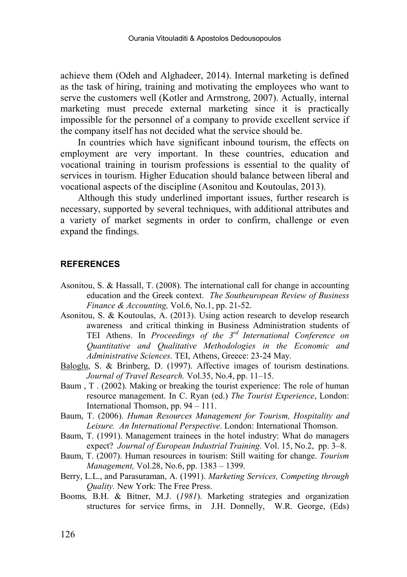achieve them (Odeh and Alghadeer, 2014). Internal marketing is defined as the task of hiring, training and motivating the employees who want to serve the customers well (Kotler and Armstrong, 2007). Actually, internal marketing must precede external marketing since it is practically impossible for the personnel of a company to provide excellent service if the company itself has not decided what the service should be.

In countries which have significant inbound tourism, the effects on employment are very important. In these countries, education and vocational training in tourism professions is essential to the quality of services in tourism. Higher Education should balance between liberal and vocational aspects of the discipline (Asonitou and Koutoulas, 2013).

Although this study underlined important issues, further research is necessary, supported by several techniques, with additional attributes and a variety of market segments in order to confirm, challenge or even expand the findings.

### **REFERENCES**

- Asonitou, S. & Hassall, T. (2008). The international call for change in accounting education and the Greek context. *The Southeuropean Review of Business Finance & Accounting,* Vol.6, No.1, pp. 21-52.
- Asonitou, S. & Koutoulas, A. (2013). Using action research to develop research awareness and critical thinking in Business Administration students of TEI Athens. In *Proceedings of the 3rd International Conference on Quantitative and Qualitative Methodologies in the Economic and Administrative Sciences*. TEI, Athens, Greece: 23-24 May.
- [Baloglu,](http://www.sciencedirect.com/science?_ob=ArticleURL&_aset=V-WA-A-W-ZZ-MsSAYWW-UUA-U-AAAWZEDBCZ-AAAUWDYACZ-EZBZWDUEZ-ZZ-U&_rdoc=26&_fmt=full&_udi=B6V9R-40P8PK1-1&_coverDate=02%2F28%2F2001&_cdi=5905&_orig=search&_st=13&_sort=d&view=c&_acct=C000059634&_version=1&_urlVersion=0&_userid=109812&md5=3546166b4f0cd092ecf46856a17949b2#bbib25#bbib25) S. & Brinberg, D. (1997). Affective images of tourism destinations. *Journal of Travel Research.* Vol.35, No.4, pp. 11–15.
- Baum , T . (2002). Making or breaking the tourist experience: The role of human resource management. In C. Ryan (ed.) *The Tourist Experience*, London: International Thomson, pp. 94 – 111.
- Baum, T. (2006). *Human Resources Management for Tourism, Hospitality and Leisure. An International Perspective*. London: International Thomson.
- Baum, T. (1991). Management trainees in the hotel industry: What do managers expect? *Journal of European Industrial Training*. Vol. 15, No.2, pp. 3–8.
- Baum, T. (2007). Human resources in tourism: Still waiting for change. *Tourism Management,* Vol.28, No.6, pp. 1383 – 1399.
- Berry, L.L., and Parasuraman, A. (1991). *Marketing Services, Competing through Quality.* New York: The Free Press.
- Booms*,* B.H. & Bitner, M.J. (*1981*). Marketing strategies and organization structures for service firms, in J.H. Donnelly, W.R. George, (Eds)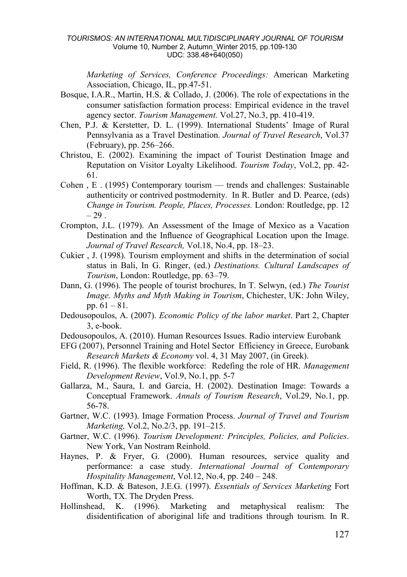*Marketing of Services, Conference Proceedings:* American Marketing Association, Chicago, IL, pp.47-51.

- Bosque, I.A.R., Martin, H.S. & Collado, J. (2006). The role of expectations in the consumer satisfaction formation process: Empirical evidence in the travel agency sector. *Tourism Management.* Vol.27, No.3, pp. 410-419.
- Chen, P.J. & Kerstetter, D. L. (1999). International Students' Image of Rural Pennsylvania as a Travel Destination. *Journal of Travel Research*, Vol.37 (February), pp. 256–266.
- Christou, E. (2002). Examining the impact of Tourist Destination Image and Reputation on Visitor Loyalty Likelihood. *Tourism Today*, Vol.2, pp. 42- 61.
- Cohen , E . (1995) Contemporary tourism trends and challenges: Sustainable authenticity or contrived postmodernity. In R. Butler and D. Pearce, (eds) *Change in Tourism. People, Places, Processes.* London: Routledge, pp. 12  $-29$ .
- Crompton, J.L. (1979). An Assessment of the Image of Mexico as a Vacation Destination and the Influence of Geographical Location upon the Image. *Journal of Travel Research,* Vol.18, No.4, pp. 18–23.
- Cukier , J. (1998). Tourism employment and shifts in the determination of social status in Bali, In G. Ringer, (ed.) *Destinations. Cultural Landscapes of Tourism*, London: Routledge, pp. 63–79.
- Dann, G. (1996). The people of tourist brochures, In T. Selwyn, (ed.) *The Tourist Image. Myths and Myth Making in Tourism*, Chichester, UK: John Wiley, pp. 61 – 81.
- Dedousopoulos, Α. (2007). *Economic Policy of the labor market*. Part 2, Chapter 3, e-book.
- Dedousopoulos, Α. (2010). Human Resources Issues. Radio interview Eurobank
- EFG (2007), Personnel Training and Hotel Sector Efficiency in Greece, Eurobank *Research Markets & Economy* vol. 4, 31 May 2007, (in Greek).
- Field, R. (1996). The flexible workforce: Redefing the role of HR. *Management Development Review*, Vol.9, No.1, pp. 5-7
- Gallarza, M., Saura, I. and Garcia, H. (2002). Destination Image: Towards a Conceptual Framework. *Annals of Tourism Research*, Vol.29, No.1, pp. 56-78.
- Gartner, W.C. (1993). Image Formation Process. *Journal of Travel and Tourism Marketing,* Vol.2, No.2/3, pp. 191–215.
- Gartner, W.C. (1996). *Tourism Development: Principles, Policies, and Policies*. New York, Van Nostram Reinhold.
- Haynes, P. & Fryer, G. (2000). Human resources, service quality and performance: a case study. *International Journal of Contemporary Hospitality Management*, Vol.12, No.4, pp. 240 – 248.
- Hoffman, K.D. & Bateson, J.E.G. (1997). *Essentials of Services Marketing* Fort Worth, TX. The Dryden Press.
- Hollinshead, K. (1996). Marketing and metaphysical realism: The disidentification of aboriginal life and traditions through tourism. In R.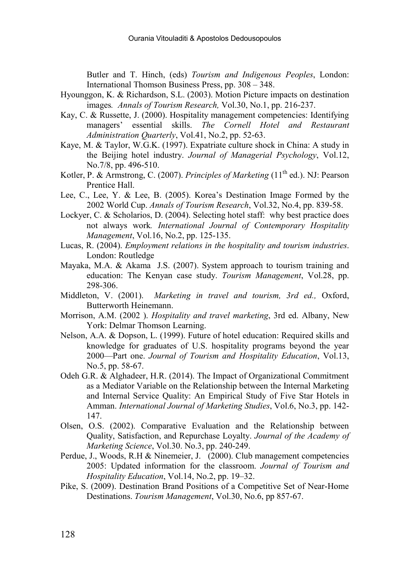Butler and T. Hinch, (eds) *Tourism and Indigenous Peoples*, London: International Thomson Business Press, pp. 308 – 348.

- Hyounggon, K. & Richardson, S.L. (2003). Motion Picture impacts on destination images*. Annals of Tourism Research,* Vol.30, No.1, pp. 216-237.
- Kay, C. & Russette, J. (2000). Hospitality management competencies: Identifying managers' essential skills. *The Cornell Hotel and Restaurant Administration Quarterly*, Vol.41, No.2, pp. 52-63.
- Kaye, M. & Taylor, W.G.K. (1997). Expatriate culture shock in China: A study in the Beijing hotel industry. *Journal of Managerial Psychology*, Vol.12, No.7/8, pp. 496-510.
- Kotler, P. & Armstrong, C. (2007). *Principles of Marketing* (11<sup>th</sup> ed.). NJ: Pearson Prentice Hall.
- Lee, C., Lee, Y. & Lee, B. (2005). Korea's Destination Image Formed by the 2002 World Cup. *Annals of Tourism Research*, Vol.32, No.4, pp. 839-58.
- Lockyer, C. & Scholarios, D. (2004). Selecting hotel staff: why best practice does not always work*. International Journal of Contemporary Hospitality Management*, Vol.16, No.2, pp. 125-135.
- Lucas, R. (2004). *Employment relations in the hospitality and tourism industries*. London: Routledge
- Mayaka, M.A. & Akama J.S. (2007). System approach to tourism training and education: The Kenyan case study. *Tourism Management*, Vol.28, pp. 298-306.
- Middleton, V. (2001). *Marketing in travel and tourism, 3rd ed.,* Oxford, Butterworth Heinemann.
- Morrison, A.M. (2002 ). *Hospitality and travel marketing*, 3rd ed. Albany, New York: Delmar Thomson Learning.
- Nelson, A.A. & Dopson, L. (1999). Future of hotel education: Required skills and knowledge for graduates of U.S. hospitality programs beyond the year 2000—Part one. *Journal of Tourism and Hospitality Education*, Vol.13, No.5, pp. 58-67.
- Odeh G.R. & Alghadeer, H.R. (2014). The Impact of Organizational Commitment as a Mediator Variable on the Relationship between the Internal Marketing and Internal Service Quality: An Empirical Study of Five Star Hotels in Amman. *International Journal of Marketing Studies*, Vol.6, No.3, pp. 142- 147.
- Olsen, O.S. (2002). Comparative Evaluation and the Relationship between Quality, Satisfaction, and Repurchase Loyalty. *Journal of the Academy of Marketing Science*, Vol.30. No.3, pp. 240-249.
- Perdue, J., Woods, R.H & Ninemeier, J. (2000). Club management competencies 2005: Updated information for the classroom. *Journal of Tourism and Hospitality Education*, Vol.14, No.2, pp. 19–32.
- Pike, S. (2009). Destination Brand Positions of a Competitive Set of Near-Home Destinations. *Tourism Management*, Vol.30, No.6, pp 857-67.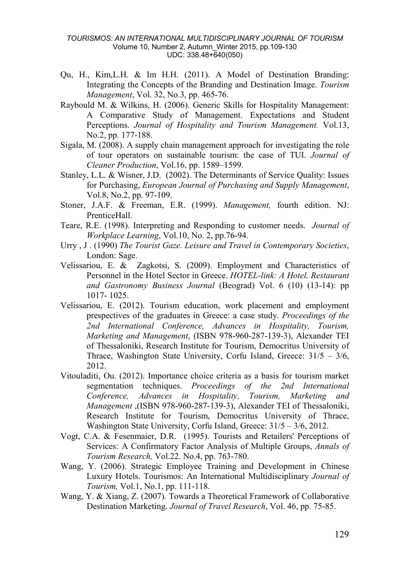- Qu, H., Kim,L.H. & Im H.H. (2011). A Model of Destination Branding: Integrating the Concepts of the Branding and Destination Image. *Tourism Management*, Vol. 32, No.3, pp. 465-76.
- Raybould M. & Wilkins, H. (2006). Generic Skills for Hospitality Management: A Comparative Study of Management. Expectations and Student Perceptions. *Journal of Hospitality and Tourism Management.* Vol.13, No.2, pp. 177-188.
- Sigala, M. (2008). A supply chain management approach for investigating the role of tour operators on sustainable tourism: the case of TUI. *Journal of Cleaner Production*, Vol.16, pp. 1589–1599.
- Stanley, L.L. & Wisner, J.D. (2002). The Determinants of Service Quality: Issues for Purchasing, *European Journal of Purchasing and Supply Management*, Vol.8, No.2, pp. 97-109.
- Stoner, J.A.F. & Freeman, E.R. (1999). *Management,* fourth edition. NJ: PrenticeHall.
- Teare, R.E. (1998). Interpreting and Responding to customer needs. *Journal of Workplace Learning*, Vol.10, No. 2, pp.76-94.
- Urry , J . (1990) *The Tourist Gaze. Leisure and Travel in Contemporary Societies*, London: Sage.
- Velissariou, E. & Zagkotsi, S. (2009). Employment and Characteristics of Personnel in the Hotel Sector in Greece. *HOTEL-link: A Hotel, Restaurant and Gastronomy Business Journal* (Beograd) Vol. 6 (10) (13-14): pp 1017- 1025.
- Velissariou, E. (2012). Tourism education, work placement and employment prespectives of the graduates in Greece: a case study. *Proceedings of the 2nd International Conference, Advances in Hospitality, Tourism, Marketing and Management*, (ISBN 978-960-287-139-3), Alexander ΤΕΙ of Thessaloniki, Research Institute for Tourism, Democritus University of Thrace, Washington State University, Corfu Island, Greece:  $31/5 - 3/6$ , 2012.
- Vitouladiti, Ou. (2012). Importance choice criteria as a basis for tourism market segmentation techniques. *Proceedings of the 2nd International Conference, Advances in Hospitality, Tourism, Marketing and Management* ,(ISBN 978-960-287-139-3), Alexander ΤΕΙ of Thessaloniki, Research Institute for Tourism, Democritus University of Thrace, Washington State University, Corfu Island, Greece:  $31/5 - 3/6$ , 2012.
- Vogt, C.A. & Fesenmaier, D.R. (1995). Tourists and Retailers' Perceptions of Services: A Confirmatory Factor Analysis of Multiple Groups, *Annals of Tourism Research,* Vol.22. No.4, pp. 763-780.
- Wang, Y. (2006). Strategic Employee Training and Development in Chinese Luxury Hotels. Tourismos: An International Multidisciplinary *Journal of Tourism,* Vol.1, No.1, pp. 111-118.
- Wang, Y. & Xiang, Z. (2007). Towards a Theoretical Framework of Collaborative Destination Marketing. *Journal of Travel Research*, Vol. 46, pp. 75-85.